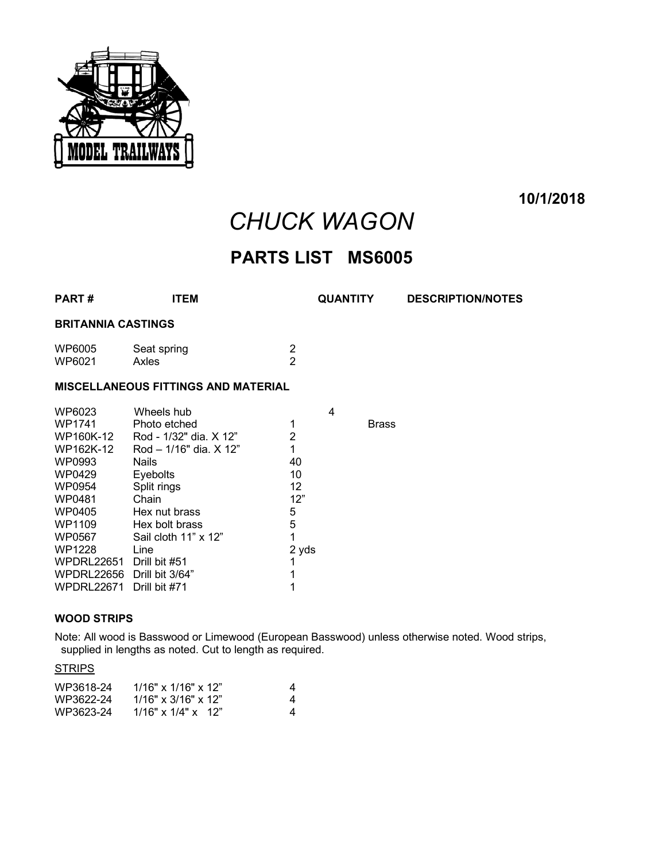

**10/1/2018**

# *CHUCK WAGON*

# **PARTS LIST MS6005**

| <b>PART#</b>                                                                                                     | <b>ITEM</b>                                                                                                                                                                                        |                                                                       | <b>QUANTITY</b> | <b>DESCRIPTION/NOTES</b> |  |  |  |  |  |
|------------------------------------------------------------------------------------------------------------------|----------------------------------------------------------------------------------------------------------------------------------------------------------------------------------------------------|-----------------------------------------------------------------------|-----------------|--------------------------|--|--|--|--|--|
| <b>BRITANNIA CASTINGS</b>                                                                                        |                                                                                                                                                                                                    |                                                                       |                 |                          |  |  |  |  |  |
| WP6005<br>WP6021                                                                                                 | Seat spring<br>Axles                                                                                                                                                                               | $\overline{2}$<br>$\overline{2}$                                      |                 |                          |  |  |  |  |  |
| <b>MISCELLANEOUS FITTINGS AND MATERIAL</b>                                                                       |                                                                                                                                                                                                    |                                                                       |                 |                          |  |  |  |  |  |
| WP1741<br>WP160K-12<br>WP162K-12<br>WP0993<br>WP0429<br>WP0954<br>WP0481<br>WP0405<br>WP1109<br>WP0567<br>WP1228 | Photo etched<br>Rod - 1/32" dia. X 12"<br>$Rod - 1/16"$ dia, $X$ 12"<br><b>Nails</b><br><b>Eyebolts</b><br>Split rings<br>Chain<br>Hex nut brass<br>Hex bolt brass<br>Sail cloth 11" x 12"<br>Line | 1<br>$\overline{2}$<br>1<br>40<br>10<br>12<br>12"<br>5<br>5<br>1<br>1 | <b>Brass</b>    |                          |  |  |  |  |  |
| <b>WPDRL22671</b>                                                                                                | Drill bit #71                                                                                                                                                                                      | 1                                                                     |                 |                          |  |  |  |  |  |
|                                                                                                                  | WP6023                                                                                                                                                                                             | Wheels hub<br>WPDRL22651 Drill bit #51<br>WPDRL22656 Drill bit 3/64"  |                 | 4<br>2 yds               |  |  |  |  |  |

#### **WOOD STRIPS**

Note: All wood is Basswood or Limewood (European Basswood) unless otherwise noted. Wood strips, supplied in lengths as noted. Cut to length as required.

#### **STRIPS**

| WP3618-24 | $1/16" \times 1/16" \times 12"$ | 4 |
|-----------|---------------------------------|---|
| WP3622-24 | $1/16" \times 3/16" \times 12"$ |   |
| WP3623-24 | $1/16" \times 1/4" \times 12"$  |   |